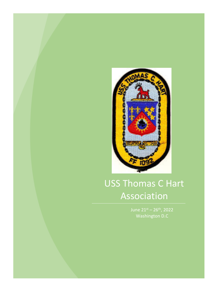

# USS Thomas C Hart Association

June  $21^{st} - 26^{th}$ , 2022 Washington D.C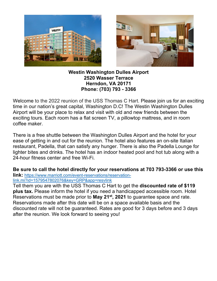



#### **Westin Washington Dulles Airport 2520 Wasser Terrace Herndon, VA 20171 Phone: (703) 793 - 3366**

Welcome to the 2022 reunion of the USS Thomas C Hart. Please join us for an exciting time in our nation's great capital, Washington D.C! The Westin Washington Dulles Airport will be your place to relax and visit with old and new friends between the exciting tours. Each room has a flat screen TV, a pillowtop mattress, and in room coffee maker.

There is a free shuttle between the Washington Dulles Airport and the hotel for your ease of getting in and out for the reunion. The hotel also features an on-site Italian restaurant, Padella, that can satisfy any hunger. There is also the Padella Lounge for lighter bites and drinks. The hotel has an indoor heated pool and hot tub along with a 24-hour fitness center and free Wi-Fi.

**Be sure to call the hotel directly for your reservations at 703 793-3366 or use this link:** https://www.marriott.com/event-reservations/reservationlink.mi?id=1579547802076&key=GRP&app=resvlink

Tell them you are with the USS Thomas C Hart to get the **discounted rate of \$119 plus tax.** Please inform the hotel if you need a handicapped accessible room. Hotel Reservations must be made prior to **May 21st, 2021** to guarantee space and rate. Reservations made after this date will be on a space available basis and the discounted rate will not be guaranteed. Rates are good for 3 days before and 3 days after the reunion. We look forward to seeing you!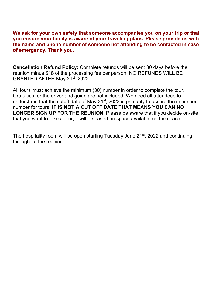**We ask for your own safety that someone accompanies you on your trip or that you ensure your family is aware of your traveling plans. Please provide us with the name and phone number of someone not attending to be contacted in case of emergency. Thank you.**

**Cancellation Refund Policy:** Complete refunds will be sent 30 days before the reunion minus \$18 of the processing fee per person. NO REFUNDS WILL BE GRANTED AFTER May 21st, 2022.

All tours must achieve the minimum (30) number in order to complete the tour. Gratuities for the driver and guide are not included. We need all attendees to understand that the cutoff date of May  $21^{st}$ , 2022 is primarily to assure the minimum number for tours. **IT IS NOT A CUT OFF DATE THAT MEANS YOU CAN NO LONGER SIGN UP FOR THE REUNION.** Please be aware that if you decide on-site that you want to take a tour, it will be based on space available on the coach.

The hospitality room will be open starting Tuesday June 21<sup>st</sup>, 2022 and continuing throughout the reunion.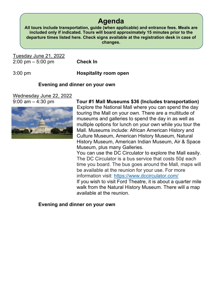### **Agenda**

**All tours include transportation, guide (when applicable) and entrance fees. Meals are included only if indicated. Tours will board approximately 15 minutes prior to the departure times listed here. Check signs available at the registration desk in case of changes.**

Tuesday June 21, 2022 2:00 pm – 5:00 pm **Check In**

3:00 pm **Hospitality room open**

#### **Evening and dinner on your own**

Wednesday June 22, 2022



9:00 am – 4:30 pm **Tour #1 Mall Museums \$36 (Includes transportation)** Explore the National Mall where you can spend the day touring the Mall on your own. There are a multitude of museums and galleries to spend the day in as well as multiple options for lunch on your own while you tour the Mall. Museums include: African American History and Culture Museum, American History Museum, Natural History Museum, American Indian Museum, Air & Space Museum, plus many Galleries. You can use the DC Circulator to explore the Mall easily.

The DC Circulator is a bus service that costs 50¢ each time you board. The bus goes around the Mall, maps will be available at the reunion for your use. For more information visit: https://www.dccirculator.com/

If you wish to visit Ford Theatre, it is about a quarter mile walk from the Natural History Museum. There will a map available at the reunion.

#### **Evening and dinner on your own**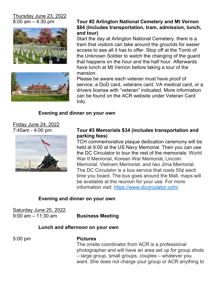## Thursday June 23, 2022





#### 8:00 am – 4:30 pm **Tour #2 Arlington National Cemetery and Mt Vernon \$84 (Includes transportation, tram, admission, lunch, and tour)**

Start the day at Arlington National Cemetery, there is a tram that visitors can take around the grounds for easier access to see all it has to offer. Stop off at the Tomb of the Unknown Soldier to watch the changing of the guard that happens on the hour and the half hour. Afterwards have lunch at Mt Vernon before taking a tour of the mansion.

Please be aware each veteran must have proof of service; a DoD card, veterans card, VA medical card, or a drivers license with "veteran" indicated. More information can be found on the ACR website under Veteran Card Info.

#### **Evening and dinner on your own**

Friday June 24, 2022



#### 7:45am - 4:00 pm **Tour #3 Memorials \$34 (includes transportation and parking fees)**

TCH commemorative plaque dedication ceremony will be held at 9:00 at the US Navy Memorial. Then you can use the DC Circulator to tour the rest of the memorials: World War II Memorial, Korean War Memorial, Lincoln Memorial, Vietnam Memorial, and Iwo Jima Memorial. The DC Circulator is a bus service that costs 50¢ each time you board. The bus goes around the Mall, maps will be available at the reunion for your use. For more information visit: https://www.dccirculator.com/

#### **Evening and dinner on your own**

Saturday June 25, 2022

9:00 am – 11:30 am **Business Meeting**

#### **Lunch and afternoon on your own**

#### 5:00 pm **Pictures**

The onsite coordinator from ACR is a professional photographer and will have an area set up for group shots – large group, small groups, couples – whatever you want. She does not charge your group or ACR anything to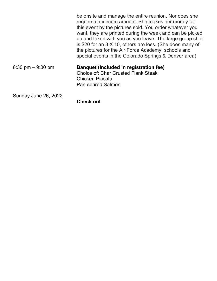|                      | be onsite and manage the entire reunion. Nor does she<br>require a minimum amount. She makes her money for<br>this event by the pictures sold. You order whatever you<br>want, they are printed during the week and can be picked<br>up and taken with you as you leave. The large group shot<br>is \$20 for an 8 X 10, others are less. (She does many of<br>the pictures for the Air Force Academy, schools and<br>special events in the Colorado Springs & Denver area) |
|----------------------|----------------------------------------------------------------------------------------------------------------------------------------------------------------------------------------------------------------------------------------------------------------------------------------------------------------------------------------------------------------------------------------------------------------------------------------------------------------------------|
| 6:30 pm $-9:00$ pm   | <b>Banquet (Included in registration fee)</b><br><b>Choice of: Char Crusted Flank Steak</b><br><b>Chicken Piccata</b><br><b>Pan-seared Salmon</b>                                                                                                                                                                                                                                                                                                                          |
| Sunday June 26, 2022 |                                                                                                                                                                                                                                                                                                                                                                                                                                                                            |

**Check out**